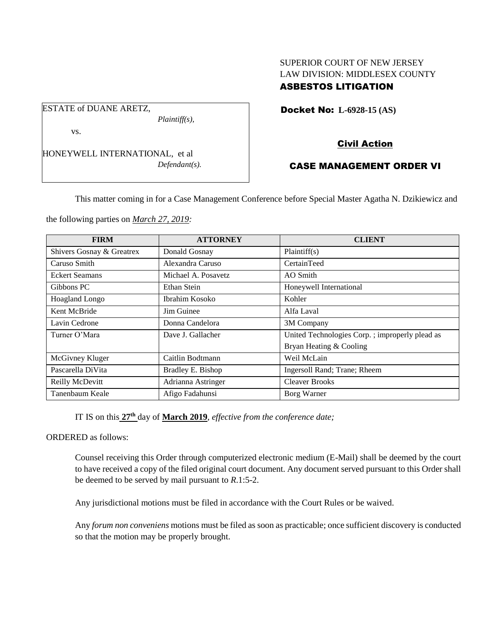## SUPERIOR COURT OF NEW JERSEY LAW DIVISION: MIDDLESEX COUNTY ASBESTOS LITIGATION

Docket No: **L-6928-15 (AS)** 

vs.

ESTATE of DUANE ARETZ,

HONEYWELL INTERNATIONAL, et al *Defendant(s).*

*Plaintiff(s),*

# Civil Action

## CASE MANAGEMENT ORDER VI

This matter coming in for a Case Management Conference before Special Master Agatha N. Dzikiewicz and

the following parties on *March 27, 2019:*

| <b>FIRM</b>               | <b>ATTORNEY</b>     | <b>CLIENT</b>                                   |
|---------------------------|---------------------|-------------------------------------------------|
| Shivers Gosnay & Greatrex | Donald Gosnay       | Plaintiff(s)                                    |
| Caruso Smith              | Alexandra Caruso    | CertainTeed                                     |
| <b>Eckert Seamans</b>     | Michael A. Posavetz | AO Smith                                        |
| Gibbons PC                | Ethan Stein         | Honeywell International                         |
| <b>Hoagland Longo</b>     | Ibrahim Kosoko      | Kohler                                          |
| Kent McBride              | Jim Guinee          | Alfa Laval                                      |
| Lavin Cedrone             | Donna Candelora     | 3M Company                                      |
| Turner O'Mara             | Dave J. Gallacher   | United Technologies Corp. ; improperly plead as |
|                           |                     | Bryan Heating & Cooling                         |
| McGivney Kluger           | Caitlin Bodtmann    | Weil McLain                                     |
| Pascarella DiVita         | Bradley E. Bishop   | Ingersoll Rand; Trane; Rheem                    |
| Reilly McDevitt           | Adrianna Astringer  | <b>Cleaver Brooks</b>                           |
| Tanenbaum Keale           | Afigo Fadahunsi     | Borg Warner                                     |

IT IS on this  $27<sup>th</sup>$  day of **March 2019**, *effective from the conference date*;

ORDERED as follows:

Counsel receiving this Order through computerized electronic medium (E-Mail) shall be deemed by the court to have received a copy of the filed original court document. Any document served pursuant to this Order shall be deemed to be served by mail pursuant to *R*.1:5-2.

Any jurisdictional motions must be filed in accordance with the Court Rules or be waived.

Any *forum non conveniens* motions must be filed as soon as practicable; once sufficient discovery is conducted so that the motion may be properly brought.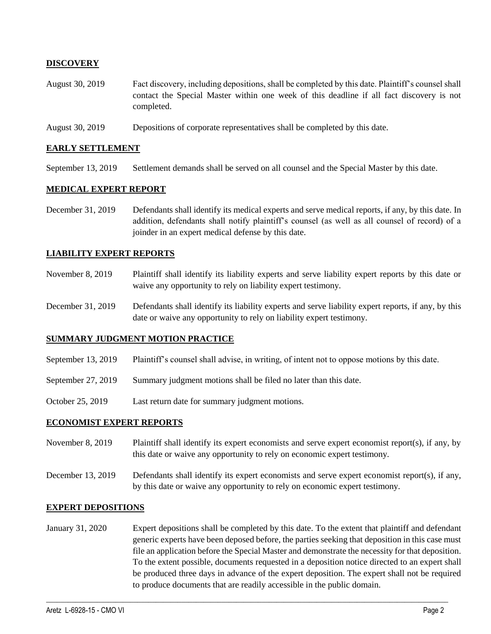### **DISCOVERY**

- August 30, 2019 Fact discovery, including depositions, shall be completed by this date. Plaintiff's counsel shall contact the Special Master within one week of this deadline if all fact discovery is not completed.
- August 30, 2019 Depositions of corporate representatives shall be completed by this date.

#### **EARLY SETTLEMENT**

September 13, 2019 Settlement demands shall be served on all counsel and the Special Master by this date.

#### **MEDICAL EXPERT REPORT**

December 31, 2019 Defendants shall identify its medical experts and serve medical reports, if any, by this date. In addition, defendants shall notify plaintiff's counsel (as well as all counsel of record) of a joinder in an expert medical defense by this date.

#### **LIABILITY EXPERT REPORTS**

- November 8, 2019 Plaintiff shall identify its liability experts and serve liability expert reports by this date or waive any opportunity to rely on liability expert testimony.
- December 31, 2019 Defendants shall identify its liability experts and serve liability expert reports, if any, by this date or waive any opportunity to rely on liability expert testimony.

#### **SUMMARY JUDGMENT MOTION PRACTICE**

- September 13, 2019 Plaintiff's counsel shall advise, in writing, of intent not to oppose motions by this date.
- September 27, 2019 Summary judgment motions shall be filed no later than this date.
- October 25, 2019 Last return date for summary judgment motions.

#### **ECONOMIST EXPERT REPORTS**

- November 8, 2019 Plaintiff shall identify its expert economists and serve expert economist report(s), if any, by this date or waive any opportunity to rely on economic expert testimony.
- December 13, 2019 Defendants shall identify its expert economists and serve expert economist report(s), if any, by this date or waive any opportunity to rely on economic expert testimony.

#### **EXPERT DEPOSITIONS**

January 31, 2020 Expert depositions shall be completed by this date. To the extent that plaintiff and defendant generic experts have been deposed before, the parties seeking that deposition in this case must file an application before the Special Master and demonstrate the necessity for that deposition. To the extent possible, documents requested in a deposition notice directed to an expert shall be produced three days in advance of the expert deposition. The expert shall not be required to produce documents that are readily accessible in the public domain.

 $\_$  ,  $\_$  ,  $\_$  ,  $\_$  ,  $\_$  ,  $\_$  ,  $\_$  ,  $\_$  ,  $\_$  ,  $\_$  ,  $\_$  ,  $\_$  ,  $\_$  ,  $\_$  ,  $\_$  ,  $\_$  ,  $\_$  ,  $\_$  ,  $\_$  ,  $\_$  ,  $\_$  ,  $\_$  ,  $\_$  ,  $\_$  ,  $\_$  ,  $\_$  ,  $\_$  ,  $\_$  ,  $\_$  ,  $\_$  ,  $\_$  ,  $\_$  ,  $\_$  ,  $\_$  ,  $\_$  ,  $\_$  ,  $\_$  ,